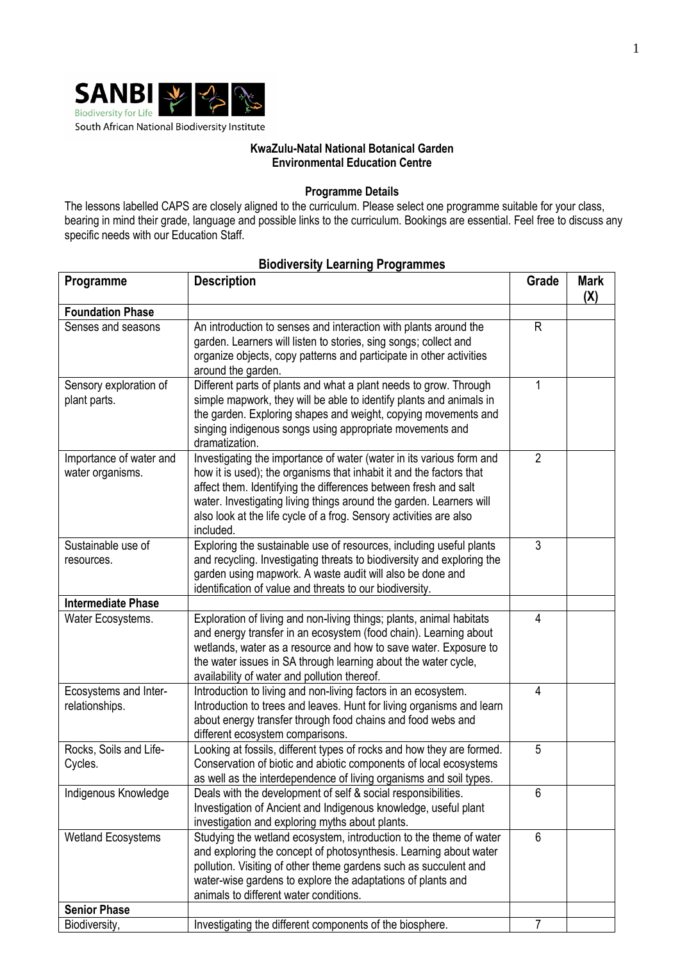

## **KwaZulu-Natal National Botanical Garden Environmental Education Centre**

## **Programme Details**

The lessons labelled CAPS are closely aligned to the curriculum. Please select one programme suitable for your class, bearing in mind their grade, language and possible links to the curriculum. Bookings are essential. Feel free to discuss any specific needs with our Education Staff.

| Programme                                   | <b>Description</b>                                                                                                                                                                                                                                                                                                                                                       | Grade          | <b>Mark</b><br>(X) |
|---------------------------------------------|--------------------------------------------------------------------------------------------------------------------------------------------------------------------------------------------------------------------------------------------------------------------------------------------------------------------------------------------------------------------------|----------------|--------------------|
| <b>Foundation Phase</b>                     |                                                                                                                                                                                                                                                                                                                                                                          |                |                    |
| Senses and seasons                          | An introduction to senses and interaction with plants around the<br>garden. Learners will listen to stories, sing songs; collect and<br>organize objects, copy patterns and participate in other activities<br>around the garden.                                                                                                                                        | $\mathsf{R}$   |                    |
| Sensory exploration of<br>plant parts.      | Different parts of plants and what a plant needs to grow. Through<br>simple mapwork, they will be able to identify plants and animals in<br>the garden. Exploring shapes and weight, copying movements and<br>singing indigenous songs using appropriate movements and<br>dramatization.                                                                                 |                |                    |
| Importance of water and<br>water organisms. | Investigating the importance of water (water in its various form and<br>how it is used); the organisms that inhabit it and the factors that<br>affect them. Identifying the differences between fresh and salt<br>water. Investigating living things around the garden. Learners will<br>also look at the life cycle of a frog. Sensory activities are also<br>included. | $\overline{2}$ |                    |
| Sustainable use of<br>resources.            | Exploring the sustainable use of resources, including useful plants<br>and recycling. Investigating threats to biodiversity and exploring the<br>garden using mapwork. A waste audit will also be done and<br>identification of value and threats to our biodiversity.                                                                                                   | 3              |                    |
| <b>Intermediate Phase</b>                   |                                                                                                                                                                                                                                                                                                                                                                          |                |                    |
| Water Ecosystems.                           | Exploration of living and non-living things; plants, animal habitats<br>and energy transfer in an ecosystem (food chain). Learning about<br>wetlands, water as a resource and how to save water. Exposure to<br>the water issues in SA through learning about the water cycle,<br>availability of water and pollution thereof.                                           | 4              |                    |
| Ecosystems and Inter-<br>relationships.     | Introduction to living and non-living factors in an ecosystem.<br>Introduction to trees and leaves. Hunt for living organisms and learn<br>about energy transfer through food chains and food webs and<br>different ecosystem comparisons.                                                                                                                               | 4              |                    |
| Rocks, Soils and Life-<br>Cycles.           | Looking at fossils, different types of rocks and how they are formed.<br>Conservation of biotic and abiotic components of local ecosystems<br>as well as the interdependence of living organisms and soil types.                                                                                                                                                         | 5              |                    |
| Indigenous Knowledge                        | Deals with the development of self & social responsibilities.<br>Investigation of Ancient and Indigenous knowledge, useful plant<br>investigation and exploring myths about plants.                                                                                                                                                                                      | 6              |                    |
| <b>Wetland Ecosystems</b>                   | Studying the wetland ecosystem, introduction to the theme of water<br>and exploring the concept of photosynthesis. Learning about water<br>pollution. Visiting of other theme gardens such as succulent and<br>water-wise gardens to explore the adaptations of plants and<br>animals to different water conditions.                                                     | 6              |                    |
| <b>Senior Phase</b>                         |                                                                                                                                                                                                                                                                                                                                                                          |                |                    |
| Biodiversity,                               | Investigating the different components of the biosphere.                                                                                                                                                                                                                                                                                                                 | $\overline{7}$ |                    |

## **Biodiversity Learning Programmes**